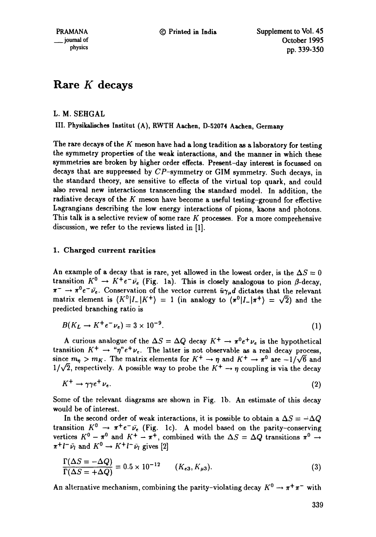# **Rare K decays**

L. M. SEHGAL

IIL Physikaliaches Institut (A), RWTH Aachen, D-52074 **Aachen, Germany** 

The rare decays of the  $K$  meson have had a long tradition as a laboratory for testing the symmetry properties of the weak interactions, and the manner in which these symmetries are broken by higher order effects. Present-day interest is focussed on decays that are suppressed by CP-symmetry or GIM symmetry. Such decays, in the standard theory, are sensitive to effects of the virtual top quark, and could also reveal new interactions transcending the standard model. In addition, the radiative decays of the K meson have become a useful testing-ground for effective Lagrangians describing the low energy interactions of pions, kaons and photons. This talk is a selective review of some rare  $K$  processes. For a more comprehensive discussion, we refer to the reviews listed in [1].

## 1. Charged current rarities

An example of a decay that is rare, yet allowed in the lowest order, is the  $\Delta S = 0$ transition  $K^0 \to K^+e^-\bar{\nu}_e$  (Fig. 1a). This is closely analogous to pion  $\beta$ -decay,  $\pi^- \to \pi^0 e^- \bar{\nu_e}$ . Conservation of the vector current  $\bar{u} \gamma_\mu d$  dictates that the relevant matrix element is  $(K^0|I_-|K^+) = 1$  (in analogy to  $(\pi^0|I_-|\pi^+) = \sqrt{2}$ ) and the predicted branching ratio is

$$
B(K_L \to K^+ e^- \nu_e) = 3 \times 10^{-9}.
$$
 (1)

A curious analogue of the  $\Delta S = \Delta Q$  decay  $K^+ \rightarrow \pi^0 e^+ \nu_e$  is the hypothetical transition  $K^+ \to \pi r^* e^+ \nu_e$ . The latter is not observable as a real decay process, since  $m_{\eta} > m_K$ . The matrix elements for  $K^+ \to \eta$  and  $K^+ \to \pi^0$  are  $-1/\sqrt{6}$  and  $1/\sqrt{2}$ , respectively. A possible way to probe the  $K^+ \rightarrow \eta$  coupling is via the decay

$$
K^+ \to \gamma \gamma e^+ \nu_e. \tag{2}
$$

Some of the relevant diagrams are shown in Fig. lb. An estimate of this decay would be of interest.

In the second order of weak interactions, it is possible to obtain a  $\Delta S = -\Delta Q$ transition  $K^0 \rightarrow \pi^+e^-\bar{\nu}_e$  (Fig. 1c). A model based on the parity-conserving vertices  $K^0 - \pi^0$  and  $K^+ - \pi^+$ , combined with the  $\Delta S = \Delta Q$  transitions  $\pi^0 \rightarrow$  $\pi^+l^-\bar{\nu}_l$  and  $K^0 \to K^+l^-\bar{\nu}_l$  gives [2]

$$
\frac{\Gamma(\Delta S = -\Delta Q)}{\Gamma(\Delta S = +\Delta Q)} = 0.5 \times 10^{-12} \qquad (K_{e3}, K_{\mu 3}).
$$
\n(3)

An alternative mechanism, combining the parity-violating decay  $K^0 \rightarrow \pi^+\pi^-$  with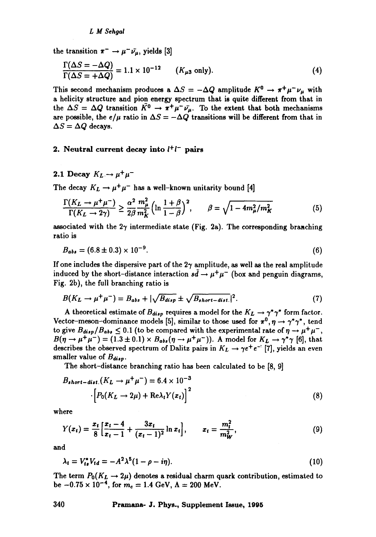the transition  $\pi^- \to \mu^- \bar{\nu_\mu}$ , yields [3]

$$
\frac{\Gamma(\Delta S = -\Delta Q)}{\Gamma(\Delta S = +\Delta Q)} = 1.1 \times 10^{-12} \qquad (K_{\mu 3} \text{ only}).
$$
\n(4)

This second mechanism produces a  $\Delta S = -\Delta Q$  amplitude  $K^0 \rightarrow \pi^+ \mu^- \nu_\mu$  with a helicity structure and pion energy spectrum that is quite different from that in the  $\Delta S = \Delta Q$  transition  $\bar{K}^0 \to \pi^+ \mu^- \bar{\nu_\mu}$ . To the extent that both mechanisms are possible, the  $e/\mu$  ratio in  $\Delta S = -\Delta Q$  transitions will be different from that in  $\Delta S = \Delta Q$  decays.

### 2. Neutral current decay into  $l^+l^-$  pairs

2.1 Decay  $K_L \to \mu^+ \mu^-$ 

The decay  $K_L \rightarrow \mu^+ \mu^-$  has a well-known unitarity bound [4]

$$
\frac{\Gamma(K_L \to \mu^+ \mu^-)}{\Gamma(K_L \to 2\gamma)} \ge \frac{\alpha^2}{2\beta} \frac{m_\mu^2}{m_K^2} \left( \ln \frac{1+\beta}{1-\beta} \right)^2, \qquad \beta = \sqrt{1 - 4m_\mu^2/m_K^2} \tag{5}
$$

associated with the  $2\gamma$  intermediate state (Fig. 2a). The corresponding branching ratio is

$$
B_{abs} = (6.8 \pm 0.3) \times 10^{-9}.
$$
 (6)

If one includes the dispersive part of the  $2\gamma$  amplitude, as well as the real amplitude induced by the short-distance interaction  $s\bar{d} \rightarrow \mu^+\mu^-$  (box and penguin diagrams, Fig. 2b), the full branching ratio is

$$
B(K_L \to \mu^+ \mu^-) = B_{abs} + |\sqrt{B_{disp}} \pm \sqrt{B_{short-dist.}}|^2. \tag{7}
$$

A theoretical estimate of  $B_{disp}$  requires a model for the  $K_L \to \gamma^* \gamma^*$  form factor. Vector-meson-dominance models [5], similar to those used for  $\pi^0$ ,  $\eta \to \gamma^* \gamma^*$ , tend to give  $B_{disp}/B_{abs} \leq 0.1$  (to be compared with the experimental rate of  $\eta \rightarrow \mu^+ \mu^-$ ,  $B(\eta \to \mu^+ \mu^-) = (1.3 \pm 0.1) \times B_{abs}(\eta \to \mu^+ \mu^-))$ . A model for  $K_L \to \gamma^* \gamma$  [6], that describes the observed spectrum of Dalitz pairs in  $K_L \rightarrow \gamma e^+ e^{-\gamma}$  [7], yields an even smaller value of  $B_{disp}$ .

The short-distance branching ratio has been calculated to be [8, 9]

$$
B_{short-dist.}(K_L \to \mu^+ \mu^-) = 6.4 \times 10^{-3}
$$

$$
\left[ P_0(K_L \to 2\mu) + \text{Re}\lambda_t Y(x_t) \right]^2 \tag{8}
$$

where

$$
Y(x_t) = \frac{x_t}{8} \left[ \frac{x_t - 4}{x_t - 1} + \frac{3x_t}{(x_t - 1)^2} \ln x_t \right], \qquad x_t = \frac{m_t^2}{m_W^2}, \tag{9}
$$

and

$$
\lambda_t = V_{ts}^* V_{td} = -A^2 \lambda^5 (1 - \rho - i\eta). \tag{10}
$$

The term  $P_0(K_L \to 2\mu)$  denotes a residual charm quark contribution, estimated to be  $-0.75 \times 10^{-4}$ , for  $m_c = 1.4$  GeV,  $\Lambda = 200$  MeV.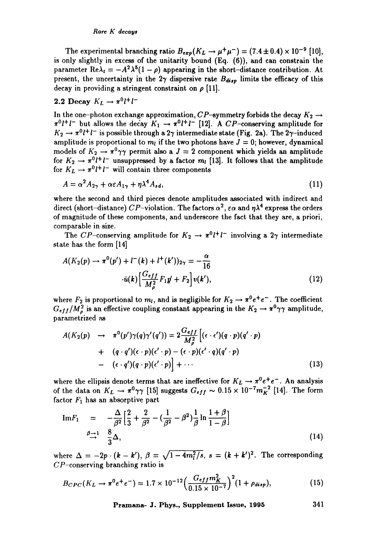#### *Rare K decays*

The experimental branching ratio  $B_{exp}(K_L \rightarrow \mu^+ \mu^-) = (7.4 \pm 0.4) \times 10^{-9}$  [10], is only slightly in excess of the unitarity bound (Eq. (6)), and can constrain the parameter Re $\lambda_t = -A^2 \lambda^5 (1 - \rho)$  appearing in the short-distance contribution. At present, the uncertainty in the  $2\gamma$  dispersive rate  $B_{disp}$  limits the efficacy of this decay in providing a stringent constraint on  $\rho$  [11].

## 2.2 Decay  $K_L \to \pi^0 l^+ l^-$

In the one-photon exchange approximation,  $CP$ -symmetry forbids the decay  $K_2 \rightarrow$  $\pi^0 l^+ l^-$  but allows the decay  $K_1 \rightarrow \pi^0 l^+ l^-$  [12]. A CP-conserving amplitude for  $K_2 \rightarrow \pi^0 l^+ l^-$  is possible through a 2 $\gamma$  intermediate state (Fig. 2a). The 2 $\gamma$ -induced amplitude is proportional to  $m_l$  if the two photons have  $J = 0$ ; however, dynamical models of  $K_2 \rightarrow \pi^0 \gamma \gamma$  permit also a  $J = 2$  component which yields an amplitude for  $K_2 \rightarrow \pi^0 l^+ l^-$  unsuppressed by a factor  $m_l$  [13]. It follows that the amplitude for  $K_L \rightarrow \pi^0 l^+ l^-$  will contain three components

$$
A = \alpha^2 A_{2\gamma} + \alpha \varepsilon A_{1\gamma} + \eta \lambda^4 A_{sd}, \tag{11}
$$

where the second and third pieces denote amplitudes associated with indirect and direct (short-distance) CP-violation. The factors  $\alpha^2$ ,  $\varepsilon \alpha$  and  $\eta \lambda^4$  express the orders of magnitude of these components, and underscore the fact that they are, a priori, comparable in size.

The CP-conserving amplitude for  $K_2 \rightarrow \pi^0 l^+ l^-$  involving a  $2\gamma$  intermediate state has the form [14]

$$
A(K_2(p) \to \pi^0(p') + l^-(k) + l^+(k'))_{2\gamma} = -\frac{\alpha}{16}
$$
  

$$
\cdot \bar{u}(k) \left[ \frac{G_{eff}}{M_{\rho}^2} F_1 p' + F_2 \right] v(k'), \tag{12}
$$

where  $F_2$  is proportional to  $m_l$ , and is negligible for  $K_2 \to \pi^0 e^+ e^-$ . The coefficient  $G_{eff}/M_{\rho}^2$  is an effective coupling constant appearing in the  $K_2 \rightarrow \pi^0 \gamma \gamma$  amplitude, parametrized as

$$
A(K_2(p) \rightarrow \pi^0(p')\gamma(q)\gamma'(q')) = 2\frac{G_{eff}}{M_{\rho}^2} \left[ (\epsilon \cdot \epsilon')(q \cdot p)(q' \cdot p) + (q \cdot q')(\epsilon \cdot p)(\epsilon' \cdot p) - (\epsilon \cdot p)(\epsilon' \cdot q)(q' \cdot p) - (\epsilon \cdot q')(q \cdot p)(\epsilon' \cdot p) \right] + \cdots
$$
\n(13)

where the ellipsis denote terms that are ineffective for  $K_L \rightarrow \pi^0 e^+ e^-$ . An analysis of the data on  $K_L \rightarrow \pi^0 \gamma \gamma$  [15] suggests  $G_{eff} \sim 0.15 \times 10^{-7} m_K^{-2}$  [14]. The form factor  $F_1$  has an absorptive part

Im 
$$
F_1
$$
 =  $-\frac{\Delta}{\beta^2} \left[ \frac{2}{3} + \frac{2}{\beta^2} - (\frac{1}{\beta^2} - \beta^2) \frac{1}{\beta} \ln \frac{1+\beta}{1-\beta} \right]$   
 $\beta \to 1$   $\frac{8}{3}\Delta,$  (14)

where  $\Delta = -2p \cdot (k - k')$ ,  $\beta = \sqrt{1 - 4m_l^2/s}$ ,  $s = (k + k')^2$ . The corresponding  $CP$ -conserving branching ratio is

$$
B_{CPC}(K_L \to \pi^0 e^+ e^-) = 1.7 \times 10^{-12} \left(\frac{G_{eff} m_K^2}{0.15 \times 10^{-7}}\right)^2 (1 + \rho_{disp}), \tag{15}
$$

**Pramana- J. Phys., Supplement Issue, 1995 341**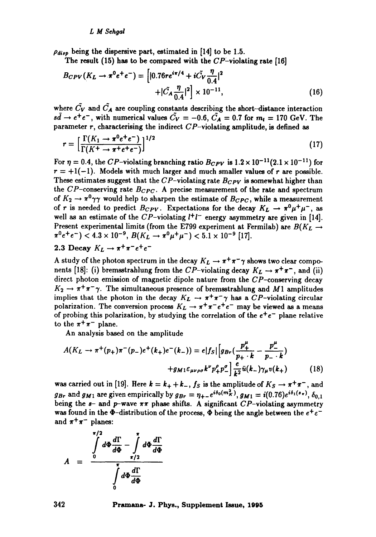$\rho_{disp}$  being the dispersive part, estimated in [14] to be 1.5.

The result (15) has to be compared with the  $CP$ -violating rate [16]

$$
B_{CPV}(K_L \to \pi^0 e^+ e^-) = \left[ |0.76re^{i\pi/4} + i\tilde{C_V} \frac{\eta}{0.4}|^2 + |\tilde{C_A} \frac{\eta}{0.4}|^2 \right] \times 10^{-11}, \tag{16}
$$

where  $\tilde{C}_V$  and  $\tilde{C}_A$  are coupling constants describing the short-distance interaction  $s\bar{d} \rightarrow e^+e^-$ , with numerical values  $\tilde{C_V} = -0.6$ ,  $\tilde{C_A} = 0.7$  for  $m_t = 170$  GeV. The parameter  $r$ , characterising the indirect  $CP$ -violating amplitude, is defined as

$$
r = \left[\frac{\Gamma(K_1 \to \pi^0 e^+ e^-)}{\Gamma(K^+ \to \pi^+ e^+ e^-)}\right]^{1/2} \tag{17}
$$

For  $\eta = 0.4$ , the CP-violating branching ratio  $B_{CPV}$  is  $1.2 \times 10^{-11}(2.1 \times 10^{-11})$  for  $r = +1(-1)$ . Models with much larger and much smaller values of r are possible. These estimates suggest that the  $CP$ -violating rate  $B_{CPV}$  is somewhat higher than the  $CP$ -conserving rate  $B_{CPC}$ . A precise measurement of the rate and spectrum of  $K_2 \rightarrow \pi^0 \gamma \gamma$  would help to sharpen the estimate of  $B_{CPC}$ , while a measurement of r is needed to predict  $B_{CPV}$ . Expectations for the decay  $K_L \rightarrow \pi^0 \mu^+ \mu^-$ , as well as an estimate of the CP-violating  $l^+l^-$  energy asymmetry are given in [14]. Present experimental limits (from the E799 experiment at Fermilab) are  $B(K_L \rightarrow$  $\pi^0 e^+ e^-$ ) < 4.3 × 10<sup>-9</sup>,  $B(K_L \to \pi^0 \mu^+ \mu^-)$  < 5.1 × 10<sup>-9</sup> [17].

# 2.3 Decay  $K_L \to \pi^+ \pi^- e^+ e^-$

A study of the photon spectrum in the decay  $K_L \rightarrow \pi^+ \pi^- \gamma$  shows two clear components [18]: (i) bremsstrahlung from the CP-violating decay  $K_L \rightarrow \pi^+\pi^-$ , and (ii) direct photon emission of magnetic dipole nature from the CP-conserving decay  $K_2 \rightarrow \pi^+\pi^-\gamma$ . The simultaneous presence of bremsstrahlung and M1 amplitudes implies that the photon in the decay  $K_L \rightarrow \pi^+\pi^-\gamma$  has a CP-violating circular polarization. The conversion process  $K_L \rightarrow \pi^+ \pi^- e^+ e^-$  may be viewed as a means of probing this polarization, by studying the correlation of the  $e^+e^-$  plane relative to the  $\pi^+\pi^-$  plane.

An analysis based on the amplitude

$$
A(K_L \to \pi^+(p_+) \pi^-(p_-) e^+(k_+) e^-(k_-)) = e |f_S| \left[ g_{Br}(\frac{p_+^{\mu}}{p_+ \cdot k} - \frac{p_-^{\mu}}{p_- \cdot k}) + g_{M1} \varepsilon_{\mu\nu\rho\sigma} k^{\nu} p_+^{\rho} p_-^{\sigma} \right] \frac{e}{k^2} \bar{u}(k_-) \gamma_{\mu} v(k_+) \tag{18}
$$

was carried out in [19]. Here  $k = k_+ + k_-$ ,  $f_S$  is the amplitude of  $K_S \rightarrow \pi^+ \pi^-$ , and  $g_{Br}$  and  $g_{M1}$  are given empirically by  $g_{Br} = \eta_{+-}e^{i\delta_0(m_K^2)}$ ,  $g_{M1} = i(0.76)e^{i\delta_1(s_{\pi})}$ ,  $\delta_{0.1}$ being the  $s-$  and  $p$ -wave  $\pi\pi$  phase shifts. A significant CP-violating asymmetry was found in the  $\Phi$ -distribution of the process,  $\Phi$  being the angle between the  $e^+e^$ and  $\pi^+\pi^-$  planes:

$$
A = \frac{\int\limits_{0}^{\pi/2} d\Phi \frac{d\Gamma}{d\Phi} - \int\limits_{\pi/2}^{\pi} d\Phi \frac{d\Gamma}{d\Phi}}{\int\limits_{0}^{\pi} d\Phi \frac{d\Gamma}{d\Phi}}
$$

#### **342 Pramana- J. Phys., Supplement Issue, 1995**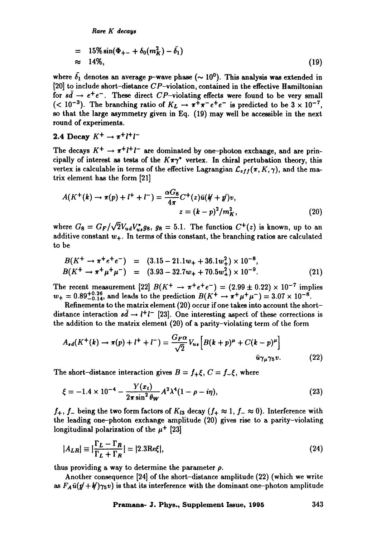*Rare K decays* 

$$
= 15\% \sin(\Phi_{+-} + \delta_0(m_K^2) - \bar{\delta_1})
$$
  
\n
$$
\approx 14\%, \tag{19}
$$

where  $\delta_1$  denotes an average p-wave phase ( $\sim 10^0$ ). This analysis was extended in [20] to include short-distance  $CP$ -violation, contained in the effective Hamiltonian for  $s\bar{d} \rightarrow e^+e^-$ . These direct CP-violating effects were found to be very small (< 10<sup>-3</sup>). The branching ratio of  $K_L \rightarrow \pi^+ \pi^- e^+ e^-$  is predicted to be  $3 \times 10^{-7}$ , so that the large asymmetry given in Eq. (19) may well be accessible in the next round of experiments.

2.4 Decay 
$$
K^+ \rightarrow \pi^+ l^+ l^-
$$

The decays  $K^+ \to \pi^+ l^+ l^-$  are dominated by one-photon exchange, and are principally of interest as tests of the  $K\pi\gamma^*$  vertex. In chiral pertubation theory, this vertex is calculable in terms of the effective Lagrangian  $\mathcal{L}_{eff}(\pi, K, \gamma)$ , and the matrix element has the form [21]

$$
A(K^{+}(k) \to \pi(p) + l^{+} + l^{-}) = \frac{\alpha G_8}{4\pi} C^{+}(z) \bar{u}(k + p)v,
$$
  

$$
z = (k - p)^{2}/m_{K}^{2},
$$
 (20)

where  $G_8 = G_F/\sqrt{2}V_{ud}V_{us}^*g_8$ ,  $g_8 = 5.1$ . The function  $C^+(z)$  is known, up to an additive constant  $w_+$ . In terms of this constant, the branching ratios are calculated to be

$$
B(K^{+} \to \pi^{+} e^{+} e^{-}) = (3.15 - 21.1 w_{+} + 36.1 w_{+}^{2}) \times 10^{-8},
$$
  
\n
$$
B(K^{+} \to \pi^{+} \mu^{+} \mu^{-}) = (3.93 - 32.7 w_{+} + 70.5 w_{+}^{2}) \times 10^{-9}.
$$
 (21)

The recent measurement [22]  $B(K^+ \to \pi^+ e^+ e^-) = (2.99 \pm 0.22) \times 10^{-7}$  implies  $w_+ = 0.89^{+0.26}_{-0.14}$ , and leads to the prediction  $B(K^+ \to \pi^+ \mu^+ \mu^-) = 3.07 \times 10^{-8}$ .

Refinements to the matrix element (20) occur if one takes into account the shortdistance interaction  $s\bar{d} \rightarrow l^+l^-$  [23]. One interesting aspect of these corrections is the addition to the matrix element (20) of a parity-violating term of the form

$$
A_{sd}(K^+(k) \to \pi(p) + l^+ + l^-) = \frac{G_F \alpha}{\sqrt{2}} V_{us} \Big[ B(k+p)^\mu + C(k-p)^\mu \Big]
$$
  

$$
\bar{u}\gamma_\mu \gamma_5 v. \tag{22}
$$

The short-distance interaction gives  $B = f_{+} \xi$ ,  $C = f_{-} \xi$ , where

$$
\xi = -1.4 \times 10^{-4} - \frac{Y(x_t)}{2\pi \sin^2 \theta_W} A^2 \lambda^4 (1 - \rho - i\eta), \tag{23}
$$

 $f_+$ ,  $f_-$  being the two form factors of  $K_{13}$  decay  $(f_+ \approx 1, f_- \approx 0)$ . Interference with the leading one-photon exchange amplitude (20) gives rise to a parity-violating longitudinal polarization of the  $\mu^+$  [23]

$$
|A_{LR}| \equiv |\frac{\Gamma_L - \Gamma_R}{\Gamma_L + \Gamma_R}| = |2.3 \text{Re}\xi|,\tag{24}
$$

thus providing a way to determine the parameter  $\rho$ .

Another consequence [24] of the short-distance amplitude (22) (which we write as  $F_A\bar{u}(p' + k')\gamma_5 v$  is that its interference with the dominant one-photon amplitude

**Pramana- J. Phys., Supplement Issue, 1995 343**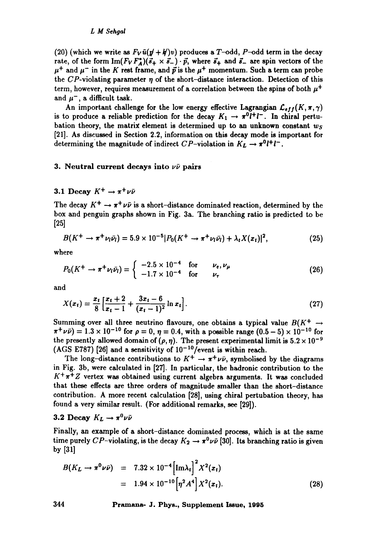#### *L M Sehgai*

(20) (which we write as  $F_V \bar{u} (p' + p')v$ ) produces a T-odd, P-odd term in the decay rate, of the form  $\text{Im}(F_V F_A^*)(\vec{s}_+ \times \vec{s}_-) \cdot \vec{p}$ , where  $\vec{s}_+$  and  $\vec{s}_-$  are spin vectors of the  $\mu^+$  and  $\mu^-$  in the K rest frame, and  $\vec{p}$  is the  $\mu^+$  momentum. Such a term can probe the CP-violating parameter  $\eta$  of the short-distance interaction. Detection of this term, however, requires measurement of a correlation between the spins of both  $\mu^+$ and  $\mu^-$ , a difficult task.

An important challenge for the low energy effective Lagrangian  $\mathcal{L}_{eff}(K, \pi, \gamma)$ is to produce a reliable prediction for the decay  $K_1 \rightarrow \pi^0 l^+ l^-$ . In chiral pertubation theory, the matrix element is determined up to an unknown constant *ws*  [21]. As discussed in Section 2.2, information on this decay mode is important for determining the magnitude of indirect  $CP$ -violation in  $K_L \rightarrow \pi^0 l^+ l^-$ .

#### 3. Neutral current decays into  $\nu\bar{\nu}$  pairs

## 3.1 Decay  $K^+ \rightarrow \pi^+ \nu \bar{\nu}$

The decay  $K^+ \to \pi^+ \nu \bar{\nu}$  is a short-distance dominated reaction, determined by the box and penguin graphs shown in Fig. 3a. The branching ratio is predicted to be  $[25]$ 

$$
B(K^{+} \to \pi^{+} \nu_{l} \bar{\nu}_{l}) = 5.9 \times 10^{-5} |P_{0}(K^{+} \to \pi^{+} \nu_{l} \bar{\nu}_{l}) + \lambda_{t} X(x_{t})|^{2}, \qquad (25)
$$

where

$$
P_0(K^+ \to \pi^+ \nu_l \bar{\nu}_l) = \begin{cases} -2.5 \times 10^{-4} & \text{for} \qquad \nu_e, \nu_\mu \\ -1.7 \times 10^{-4} & \text{for} \qquad \nu_\tau \end{cases}
$$
(26)

and

$$
X(x_t) = \frac{x_t}{8} \left[ \frac{x_t + 2}{x_t - 1} + \frac{3x_t - 6}{(x_t - 1)^2} \ln x_t \right].
$$
 (27)

Summing over all three neutrino flavours, one obtains a typical value  $B(K^+ \rightarrow$  $\pi^+ \nu \bar{\nu}$  = 1.3 x 10<sup>-10</sup> for  $\rho = 0$ ,  $\eta = 0.4$ , with a possible range (0.5 - 5) x 10<sup>-10</sup> for the presently allowed domain of  $(\rho, \eta)$ . The present experimental limit is  $5.2 \times 10^{-9}$ (AGS E787) [26] and a sensitivity of  $10^{-10}/$  event is within reach.

The long-distance contributions to  $K^+ \to \pi^+ \nu \bar{\nu}$ , symbolised by the diagrams in Fig. 3b, were calculated in [27]. In particular, the hadronic contribution to the  $K^+\pi^+Z$  vertex was obtained using current algebra arguments. It was concluded that these effects are three orders of magnitude smaller than the short-distance contribution. A more recent calculation [28], using chiral pertubation theory, has found a very similar result. (For additional remarks, see [29]).

## 3.2 Decay  $K_L \rightarrow \pi^0 \nu \bar{\nu}$

Finally, an example of a short-distance dominated process, which is at the same time purely CP-violating, is the decay  $K_2 \to \pi^0 \nu \bar{\nu}$  [30]. Its branching ratio is given by [311

$$
B(K_L \to \pi^0 \nu \bar{\nu}) = 7.32 \times 10^{-4} \left[ \text{Im} \lambda_i \right]^2 X^2(x_t)
$$
  
= 1.94 \times 10^{-10} \left[ \eta^2 A^4 \right] X^2(x\_t). (28)

**344 Pramana- J. Phys., Supplement Issue, 1995**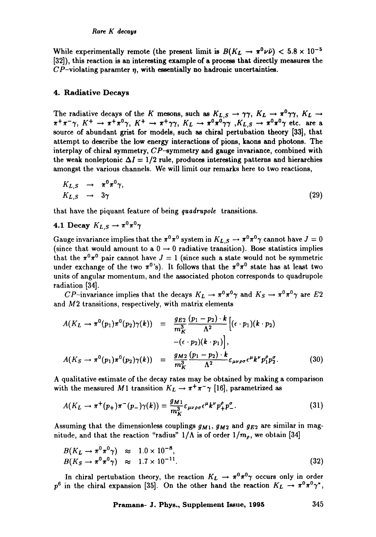While experimentally remote (the present limit is  $B(K_L \to \pi^0 \nu \bar{\nu}) < 5.8 \times 10^{-5}$ ) [32]), this reaction is an interesting example of s **process that** directly measures the  $CP$ -violating paramter  $\eta$ , with essentially no hadronic uncertainties.

#### **4. Radiative Decays**

The radiative decays of the K mesons, such as  $K_{L,S} \rightarrow \gamma \gamma$ ,  $K_L \rightarrow \pi^0 \gamma \gamma$ ,  $K_L \rightarrow$  $\pi^+\pi^-\gamma$ ,  $K^+ \to \pi^+\pi^0\gamma$ ,  $K^+ \to \pi^+\gamma\gamma$ ,  $K_L \to \pi^0\pi^0\gamma\gamma$ ,  $K_{L,S} \to \pi^0\pi^0\gamma$  etc. are a source of abundant grist for models, such as chiral pertubation theory [33], that attempt to describe the low energy interactions of pions, kaons and photons. The interplay of chiral symmetry,  $CP$ -symmetry and gauge invariance, combined with the weak nonleptonic  $\Delta I = 1/2$  rule, produces interesting patterns and hierarchies amongst the various channels. We will limit our remarks here to two reactions,

$$
K_{L,S} \rightarrow \pi^0 \pi^0 \gamma, K_{L,S} \rightarrow 3\gamma
$$
 (29)

that have the piquant feature of being *quadrnpole* transitions.

4.1 Decay  $K_L$ <sub>S</sub>  $\rightarrow \pi^0 \pi^0 \gamma$ 

Gauge invariance implies that the  $\pi^0 \pi^0$  system in  $K_{L,S} \to \pi^0 \pi^0 \gamma$  cannot have  $J = 0$ (since that would amount to a  $0 \rightarrow 0$  radiative transition). Bose statistics implies that the  $\pi^{0}\pi^{0}$  pair cannot have  $J=1$  (since such a state would not be symmetric under exchange of the two  $\pi^0$ 's). It follows that the  $\pi^0 \pi^0$  state has at least two units of angular momentum, and the associated photon corresponds to quadrupole radiation [34].

*CP*-invariance implies that the decays  $K_L \to \pi^0 \pi^0 \gamma$  and  $K_S \to \pi^0 \pi^0 \gamma$  are E2 and  $M2$  transitions, respectively, with matrix elements

$$
A(K_L \to \pi^0(p_1)\pi^0(p_2)\gamma(k)) = \frac{g_{E2}}{m_K^3} \frac{(p_1 - p_2) \cdot k}{\Lambda^2} \left[ (\epsilon \cdot p_1)(k \cdot p_2) - (\epsilon \cdot p_2)(k \cdot p_1) \right],
$$
  

$$
A(K_S \to \pi^0(p_1)\pi^0(p_2)\gamma(k)) = \frac{g_{M2}}{m_K^3} \frac{(p_1 - p_2) \cdot k}{\Lambda^2} \epsilon_{\mu\nu\rho\sigma} \epsilon^{\mu} k^{\nu} p_1^{\rho} p_2^{\sigma}.
$$
 (30)

A qualitative estimate of the decay rates may be obtained by making a comparison with the measured M1 transition  $K_L \rightarrow \pi^+\pi^-\gamma$  [16], parametrized as

$$
A(K_L \to \pi^+(p_+) \pi^-(p_-) \gamma(k)) = \frac{g_{M1}}{m_K^3} \varepsilon_{\mu\nu\rho\sigma} \epsilon^\mu k^\nu p_+^\rho p_-^\sigma. \tag{31}
$$

Assuming that the dimensionless couplings *gMl, gM2* and *gE2* are similar in magnitude, and that the reaction "radius"  $1/\Lambda$  is of order  $1/m_{\rho}$ , we obtain [34]

$$
B(K_L \to \pi^0 \pi^0 \gamma) \approx 1.0 \times 10^{-8},
$$
  
\n
$$
B(K_S \to \pi^0 \pi^0 \gamma) \approx 1.7 \times 10^{-11}.
$$
\n(32)

In chiral pertubation theory, the reaction  $K_L \rightarrow \pi^0 \pi^0 \gamma$  occurs only in order  $p^6$  in the chiral expansion [35]. On the other hand the reaction  $K_L \rightarrow \pi^0 \pi^0 \gamma^*$ ,

**Pramana- J. Phys., Supplement Issue, 1995 345**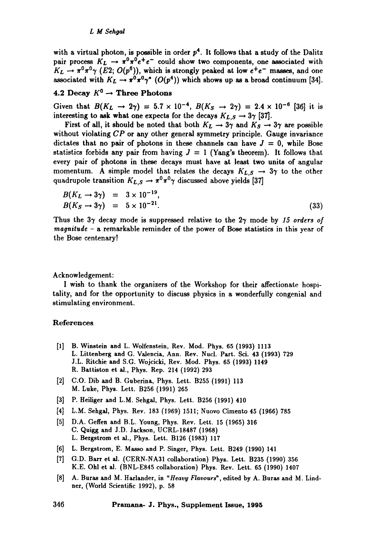#### *L M Sehgai*

with a virtual photon, is possible in order  $p<sup>4</sup>$ . It follows that a study of the Dalitz pair process  $K_L \rightarrow \pi^0 \pi^0 e^+ e^-$  could show two components, one associated with  $K_L \rightarrow \pi^0 \pi^0 \gamma$  (*E*2;  $O(p^6)$ ), which is strongly peaked at low  $e^+e^-$  masses, and one associated with  $K_L \to \pi^0 \pi^0 \gamma^*$  ( $O(p^4)$ ) which shows up as a broad continuum [34].

# 4.2 Decay  $K^0 \rightarrow$  Three Photons

Given that  $B(K_L \to 2\gamma) = 5.7 \times 10^{-4}$ ,  $B(K_S \to 2\gamma) = 2.4 \times 10^{-6}$  [36] it is interesting to ask what one expects for the decays  $K_{L,S} \rightarrow 3\gamma$  [37].

First of all, it should be noted that both  $K_L \rightarrow 3\gamma$  and  $K_S \rightarrow 3\gamma$  are possible without violating *CP* or any other general symmetry principle. Gauge invariance dictates that no pair of photons in these channels can have  $J = 0$ , while Bose statistics forbids any pair from having  $J = 1$  (Yang's theorem). It follows that every pair of photons in these decays must have at least two units of angular momentum. A simple model that relates the decays  $K_{L,S} \rightarrow 3\gamma$  to the other quadrupole transition  $K_{L,S} \rightarrow \pi^0 \pi^0 \gamma$  discussed above yields [37]

$$
B(K_L \to 3\gamma) = 3 \times 10^{-19}, B(K_S \to 3\gamma) = 5 \times 10^{-21}.
$$
 (33)

Thus the 37 decay mode is suppressed relative to the 27 mode by *15 orders of magnitude* - a remarkable reminder of the power of Bose statistics in this year of the Bose centenary!

#### Acknowledgement:

I wish to thank the organizers of the Workshop for their affectionate hospitality, and for the opportunity to discuss physics in a wonderfully congenial and stimulating environment.

#### References

- [1] B. Winstein and L. Wolfenstein, Rev. Mod. Phys. 65 (1993) 1113 L. Littenberg and G. Valencia, Ann. Rev. Nucl. Part. Sci. 43 (1993) 729 J.L. Ritchie and S.G. Wojcicki, Rev. Mod. Phys. 65 (1993) 1149 R. Battiston et al., Phys. Rep. 214 (1992) 293
- [2] C.O. Dib and B. Guberina, Phys. Lett. B255 (1991) 113 M. Luke, Phys. Lett. B256 (1991) 265
- [3] P. Heiliger and L.M. Sehgal, Phys. Lett. B256 (1991) 410
- [4] L.M. Sehgal, Phys. Rev. 183 (1969) 1511; Nuovo Cimento 45 (1966) 785
- [5] D.A. Geffen and B.L. Young, Phys. Rev. Lett. 15 (1965) 316 C. Quigg and J.D. Jackson, UCRL-18487 (1968) L. Bergstrom et al., Phys. Lett. B126 (1983) 117
- [6] L. Bergstrom, E. Masso and P. Singer, Phys. Lett. B249 (1990) 141
- [7] G.D. Burr et al. (CERN-NA31 collaboration) Phys. Lett. B235 (1990) 356 K.E. Ohl et al. (BNL-E845 collaboration) Phys. Rev. Lett. 65 (1990) 1407
- [8] A. Buras and M. Harlander, in *"Heavy Fiavours ~,* edited by A. Buras and M. Lindnet, (World Scientific 1992), p. 58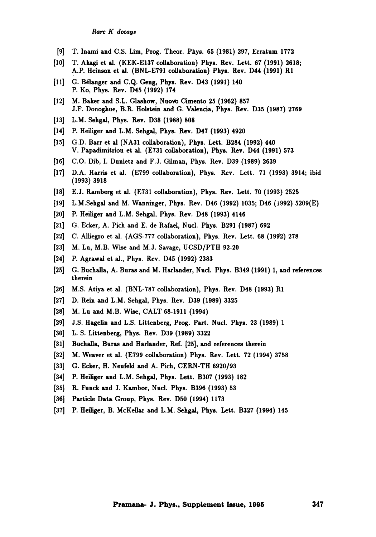- [9] T. Inami and C.S. Lim, Prog. Theor. Phys. 65 (1981) 297, Erratum 1772
- [10] T. Akagi et al. (KEK-E137 collaboration) Phys. Rev. Lett. 67 (1991) 2618; A.P. Heinson et al. (BNL-E791 collaboration) Phys. Rev. D44 (1991) **R1**
- [11] G. Bélanger and C.Q. Geng, Phys. Rev. D43 (1991) 140 P. Ko, Phys. Rev. D45 (1992) 174
- $[12]$  M. Baker and S.L. Glashow, Nuovo Cimento 25 (1962) 857 J.F. Donoghue, B.R. Holstein and G. Valencia, Phys. Rev. D35 (1987) 2769
- [13] L.M. Sehgal, Phys. Rev. D38 (1988) 808
- [14] P. Heiliger and L.M. Sehgal, Phys. Rev. D47 (1993) 4920
- [15] G.D. Barr et al (NA31 collaboration), Phys. Lett. B284 (1992) 440 V. Papadimitriou et al. (E731 collaboration), Phys. Rev. D44 (1991) 573
- [16] C.O. Dib, I. Dunietz and F.J. Gilman, Phys. Rev. D39 (1989) 2639
- [17] D.A. Harris et al. (E799 collaboration), Phys. Rev. Lett. 71 (1993) 3914; ibid **(1993) 3918**
- [18] E.J. Ramberg et al. (E731 collaboration), Phys. Rev. Lett. 70 (1993) 2525
- [19] L.M.Sehgal and M. Wanninger, Phys. Rev. D46 (1992) 1035; D46 (1992) 5209(E)
- [20] P. Heiliger and L.M. Sehgal, Phys. Rev. D48 (1993) 4146
- [21] G. Ecker, A. Pich and E. de Rafael, Nucl. Phys. B291 (1987) 692
- [22] C. Alliegro et al. (AGS-777 collaboration), Phys. Rev. Lett. 68 (1992) 278
- [23] M. Lu, M.B. Wise and M.J. Savage, UCSD/PTH 92-20
- [24] P. Agrawal et al., Phys. Rev. D45 (1992) 2383
- [25] G. Buchalla, A. Buras and M. Harlander, Nucl. Phys. B349 (1991) 1, and references therein
- [26] M.S. Atiya et al. (BNL-787 collaboration), Phys. Rev. D48 (1993) R1
- [27] D. Rein and L.M. Sehgal, Phys. Rev. D39 (1989) 3325
- [28] M. Lu and M.B. Wise, CALT 68-1911 (1994)
- [29] J.S. Hagelin and L.S. Littenberg, Prog. Part. Nucl. Phys. 23 (1989) 1
- [30] L.S. Littenberg, Phys. Rev. D39 (1989) 3322
- [31] Buchalla, Buras and Harlander, Ref. [25], and references therein
- [32] M. Weaver et al. (E799 collaboration) Phys. Rev. Lett. 72 (1994) 3758
- [33] G. Ecker, H. Neufeld and A. Pich, CERN-TH 6920/93
- [34] P. Heiliger and L.M. Sehgal, Phys. Lett. B307 (1993) 182
- [35] R. Funck and J. Kambor, Nucl. Phys. B396 (1993) 53
- [36] Particle Data Group, Phys. Rev. D50 (1994) 1173
- [37] P. Heiliger, B. McKellar and L.M. Sehgal, Phys. Lett. B327 (1994) 145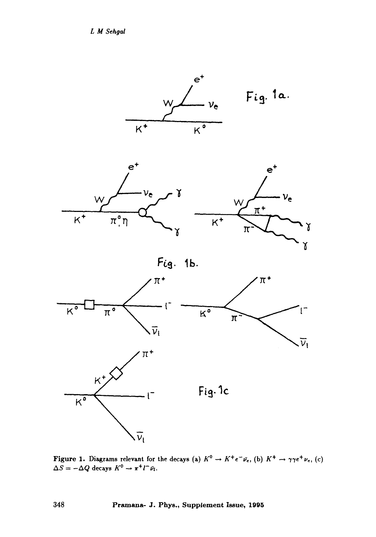*L MSehgal* 







**e +** 

Fig. 1b.



**Figure 1.** Diagrams relevant for the decays (a)  $K^{\nu} \to K^+e^-\bar{\nu}_e$ , (b)  $K^+ \to \gamma\gamma e^+\nu_e$ , (c)  $\Delta S = -\Delta Q$  decays  $K^v \rightarrow \pi^+ l^- \bar{\nu}_l$ .

**348 Pramana- J. Phys., Supplement Issue, 1995**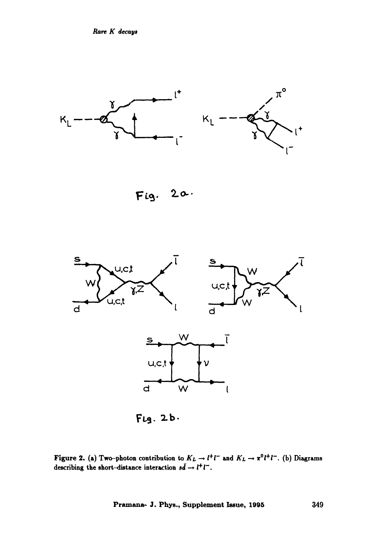

 $Fig. 20.$ 



**l:'~a. ~.b.** 

Figure 2. (a) Two-photon contribution to  $K_L \rightarrow l^+ l^-$  and  $K_L \rightarrow \pi^0 l^+ l^-$ . (b) Diagrams describing the short-distance interaction  $s\bar{d} \rightarrow l^+l^-$ .